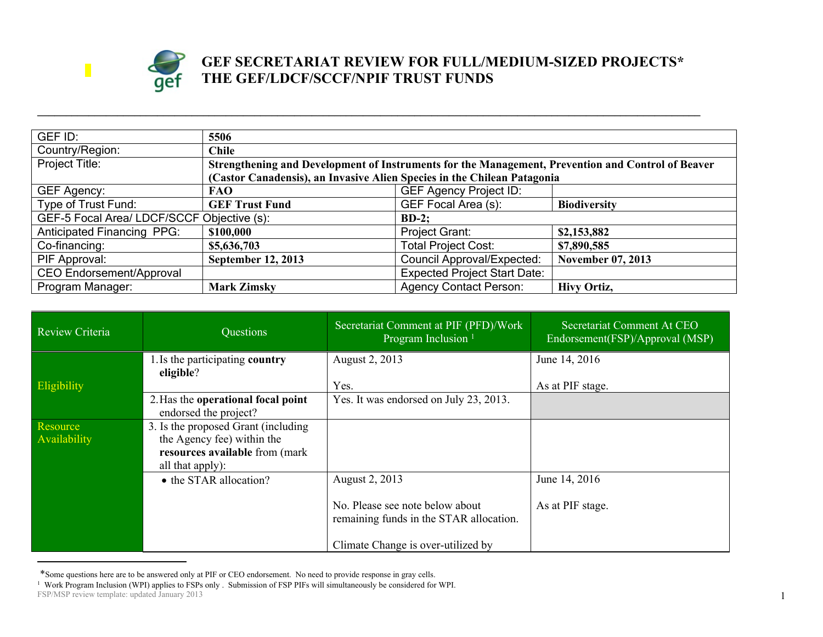

## **GEF SECRETARIAT REVIEW FOR FULL/MEDIUM-SIZED PROJECTS\* THE GEF/LDCF/SCCF/NPIF TRUST FUNDS**

| GEF ID:                                                | 5506                                                                                              |                                     |                          |
|--------------------------------------------------------|---------------------------------------------------------------------------------------------------|-------------------------------------|--------------------------|
| Country/Region:                                        | <b>Chile</b>                                                                                      |                                     |                          |
| Project Title:                                         | Strengthening and Development of Instruments for the Management, Prevention and Control of Beaver |                                     |                          |
|                                                        | (Castor Canadensis), an Invasive Alien Species in the Chilean Patagonia                           |                                     |                          |
| GEF Agency:                                            | <b>FAO</b>                                                                                        | <b>GEF Agency Project ID:</b>       |                          |
| Type of Trust Fund:                                    | <b>GEF Trust Fund</b>                                                                             | GEF Focal Area (s):                 | <b>Biodiversity</b>      |
| GEF-5 Focal Area/ LDCF/SCCF Objective (s):<br>$BD-2$ : |                                                                                                   |                                     |                          |
| Anticipated Financing PPG:                             | \$100,000                                                                                         | Project Grant:                      | \$2,153,882              |
| Co-financing:                                          | \$5,636,703                                                                                       | <b>Total Project Cost:</b>          | \$7,890,585              |
| PIF Approval:                                          | <b>September 12, 2013</b>                                                                         | <b>Council Approval/Expected:</b>   | <b>November 07, 2013</b> |
| <b>CEO Endorsement/Approval</b>                        |                                                                                                   | <b>Expected Project Start Date:</b> |                          |
| Program Manager:                                       | <b>Mark Zimsky</b>                                                                                | <b>Agency Contact Person:</b>       | <b>Hivy Ortiz,</b>       |

**\_\_\_\_\_\_\_\_\_\_\_\_\_\_\_\_\_\_\_\_\_\_\_\_\_\_\_\_\_\_\_\_\_\_\_\_\_\_\_\_\_\_\_\_\_\_\_\_\_\_\_\_\_\_\_\_\_\_\_\_\_\_\_\_\_\_\_\_\_\_\_\_\_\_\_\_\_\_\_\_\_\_\_\_\_\_\_\_\_\_\_\_\_\_\_\_\_\_\_\_\_\_\_\_\_\_\_\_\_\_\_\_\_\_\_\_**

| Review Criteria          | Questions                                                                                                                | Secretariat Comment at PIF (PFD)/Work<br>Program Inclusion <sup>1</sup>    | Secretariat Comment At CEO<br>Endorsement(FSP)/Approval (MSP) |
|--------------------------|--------------------------------------------------------------------------------------------------------------------------|----------------------------------------------------------------------------|---------------------------------------------------------------|
|                          | 1. Is the participating country<br>eligible?                                                                             | August 2, 2013<br>Yes.                                                     | June 14, 2016                                                 |
| Eligibility              | 2. Has the operational focal point<br>endorsed the project?                                                              | Yes. It was endorsed on July 23, 2013.                                     | As at PIF stage.                                              |
| Resource<br>Availability | 3. Is the proposed Grant (including)<br>the Agency fee) within the<br>resources available from (mark<br>all that apply): |                                                                            |                                                               |
|                          | • the STAR allocation?                                                                                                   | August 2, 2013                                                             | June 14, 2016                                                 |
|                          |                                                                                                                          | No. Please see note below about<br>remaining funds in the STAR allocation. | As at PIF stage.                                              |
|                          |                                                                                                                          | Climate Change is over-utilized by                                         |                                                               |

1

FSP/MSP review template: updated January 2013 \*Some questions here are to be answered only at PIF or CEO endorsement. No need to provide response in gray cells.<br><sup>1</sup> Work Program Inclusion (WPI) applies to FSPs only . Submission of FSP PIFs will simultaneously be consi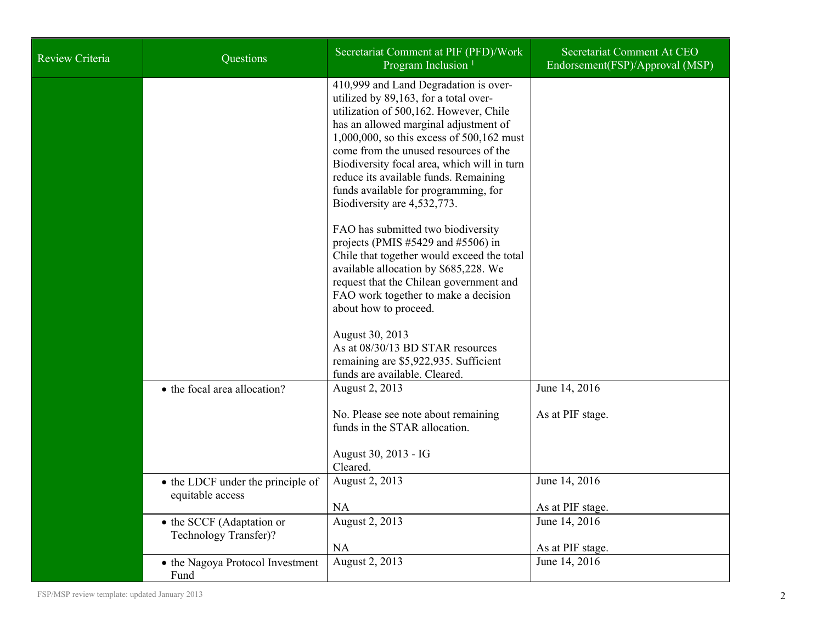| <b>Review Criteria</b> | Questions                                             | Secretariat Comment at PIF (PFD)/Work<br>Program Inclusion <sup>1</sup>                                                                                                                                                                                                                                                                                                                                                | Secretariat Comment At CEO<br>Endorsement(FSP)/Approval (MSP) |
|------------------------|-------------------------------------------------------|------------------------------------------------------------------------------------------------------------------------------------------------------------------------------------------------------------------------------------------------------------------------------------------------------------------------------------------------------------------------------------------------------------------------|---------------------------------------------------------------|
|                        |                                                       | 410,999 and Land Degradation is over-<br>utilized by 89,163, for a total over-<br>utilization of 500,162. However, Chile<br>has an allowed marginal adjustment of<br>1,000,000, so this excess of 500,162 must<br>come from the unused resources of the<br>Biodiversity focal area, which will in turn<br>reduce its available funds. Remaining<br>funds available for programming, for<br>Biodiversity are 4,532,773. |                                                               |
|                        |                                                       | FAO has submitted two biodiversity<br>projects (PMIS $#5429$ and $#5506$ ) in<br>Chile that together would exceed the total<br>available allocation by \$685,228. We<br>request that the Chilean government and<br>FAO work together to make a decision<br>about how to proceed.                                                                                                                                       |                                                               |
|                        |                                                       | August 30, 2013<br>As at 08/30/13 BD STAR resources<br>remaining are \$5,922,935. Sufficient<br>funds are available. Cleared.                                                                                                                                                                                                                                                                                          |                                                               |
|                        | • the focal area allocation?                          | August 2, 2013<br>No. Please see note about remaining<br>funds in the STAR allocation.<br>August 30, 2013 - IG<br>Cleared.                                                                                                                                                                                                                                                                                             | June 14, 2016<br>As at PIF stage.                             |
|                        | • the LDCF under the principle of<br>equitable access | August 2, 2013<br>NA                                                                                                                                                                                                                                                                                                                                                                                                   | June 14, 2016<br>As at PIF stage.                             |
|                        | • the SCCF (Adaptation or<br>Technology Transfer)?    | August 2, 2013<br><b>NA</b>                                                                                                                                                                                                                                                                                                                                                                                            | June 14, 2016<br>As at PIF stage.                             |
|                        | • the Nagoya Protocol Investment<br>Fund              | August 2, 2013                                                                                                                                                                                                                                                                                                                                                                                                         | June 14, 2016                                                 |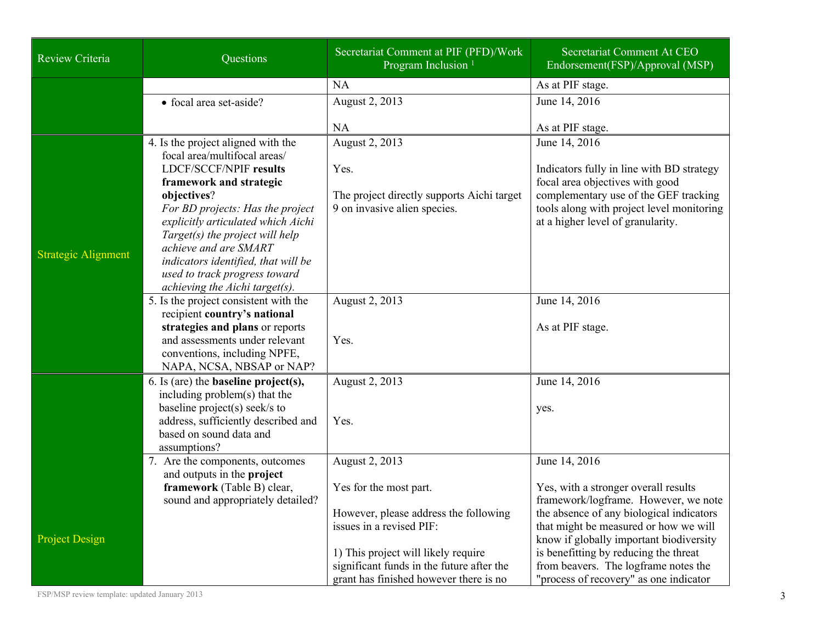| Review Criteria            | Questions                                                                                                                                                                                                                                                                              | Secretariat Comment at PIF (PFD)/Work<br>Program Inclusion <sup>1</sup>                                                    | Secretariat Comment At CEO<br>Endorsement(FSP)/Approval (MSP)                                                                                              |
|----------------------------|----------------------------------------------------------------------------------------------------------------------------------------------------------------------------------------------------------------------------------------------------------------------------------------|----------------------------------------------------------------------------------------------------------------------------|------------------------------------------------------------------------------------------------------------------------------------------------------------|
|                            |                                                                                                                                                                                                                                                                                        | <b>NA</b>                                                                                                                  | As at PIF stage.                                                                                                                                           |
|                            | • focal area set-aside?                                                                                                                                                                                                                                                                | August 2, 2013                                                                                                             | June 14, 2016                                                                                                                                              |
|                            |                                                                                                                                                                                                                                                                                        | <b>NA</b>                                                                                                                  | As at PIF stage.                                                                                                                                           |
|                            | 4. Is the project aligned with the<br>focal area/multifocal areas/<br><b>LDCF/SCCF/NPIF results</b>                                                                                                                                                                                    | August 2, 2013<br>Yes.                                                                                                     | June 14, 2016<br>Indicators fully in line with BD strategy                                                                                                 |
| <b>Strategic Alignment</b> | framework and strategic<br>objectives?<br>For BD projects: Has the project<br>explicitly articulated which Aichi<br>Target(s) the project will help<br>achieve and are SMART<br>indicators identified, that will be<br>used to track progress toward<br>achieving the Aichi target(s). | The project directly supports Aichi target<br>9 on invasive alien species.                                                 | focal area objectives with good<br>complementary use of the GEF tracking<br>tools along with project level monitoring<br>at a higher level of granularity. |
|                            | 5. Is the project consistent with the<br>recipient country's national<br>strategies and plans or reports<br>and assessments under relevant<br>conventions, including NPFE,<br>NAPA, NCSA, NBSAP or NAP?                                                                                | August 2, 2013<br>Yes.                                                                                                     | June 14, 2016<br>As at PIF stage.                                                                                                                          |
|                            | 6. Is (are) the <b>baseline</b> project(s),<br>including problem(s) that the<br>baseline project(s) seek/s to<br>address, sufficiently described and<br>based on sound data and<br>assumptions?                                                                                        | August 2, 2013<br>Yes.                                                                                                     | June 14, 2016<br>yes.                                                                                                                                      |
|                            | 7. Are the components, outcomes<br>and outputs in the project                                                                                                                                                                                                                          | August 2, 2013                                                                                                             | June 14, 2016                                                                                                                                              |
|                            | framework (Table B) clear,<br>sound and appropriately detailed?                                                                                                                                                                                                                        | Yes for the most part.                                                                                                     | Yes, with a stronger overall results<br>framework/logframe. However, we note                                                                               |
| <b>Project Design</b>      |                                                                                                                                                                                                                                                                                        | However, please address the following<br>issues in a revised PIF:                                                          | the absence of any biological indicators<br>that might be measured or how we will<br>know if globally important biodiversity                               |
|                            |                                                                                                                                                                                                                                                                                        | 1) This project will likely require<br>significant funds in the future after the<br>grant has finished however there is no | is benefitting by reducing the threat<br>from beavers. The logframe notes the<br>"process of recovery" as one indicator                                    |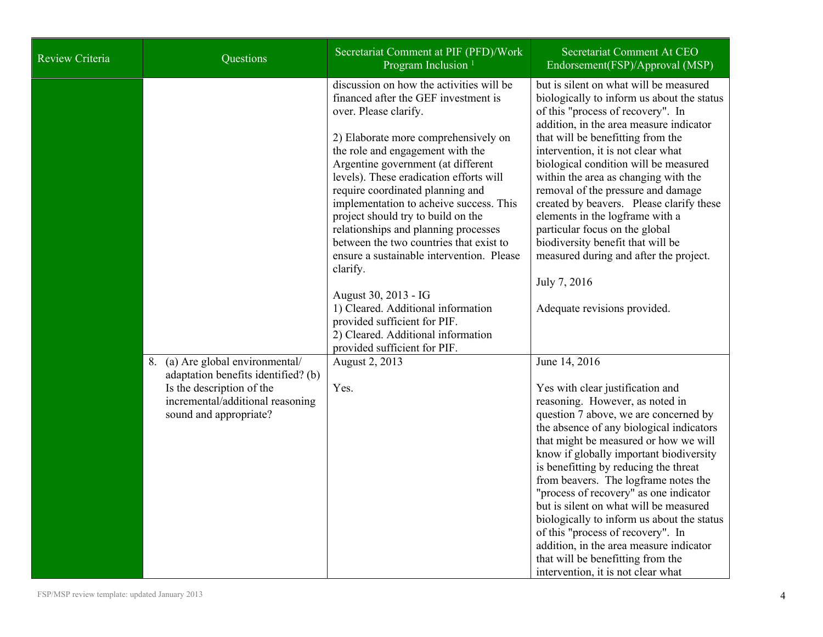| <b>Review Criteria</b> | Questions                                                                                                                                                          | Secretariat Comment at PIF (PFD)/Work<br>Program Inclusion <sup>1</sup>                                                                                                                                                                                                                                                                                                                                                                                                                                                                                                                                                                                                                                                               | Secretariat Comment At CEO<br>Endorsement(FSP)/Approval (MSP)                                                                                                                                                                                                                                                                                                                                                                                                                                                                                                                                                                                                                                                                                                                                                                                                                                                                                                                                                                                                                                                                                                                                                                                                         |
|------------------------|--------------------------------------------------------------------------------------------------------------------------------------------------------------------|---------------------------------------------------------------------------------------------------------------------------------------------------------------------------------------------------------------------------------------------------------------------------------------------------------------------------------------------------------------------------------------------------------------------------------------------------------------------------------------------------------------------------------------------------------------------------------------------------------------------------------------------------------------------------------------------------------------------------------------|-----------------------------------------------------------------------------------------------------------------------------------------------------------------------------------------------------------------------------------------------------------------------------------------------------------------------------------------------------------------------------------------------------------------------------------------------------------------------------------------------------------------------------------------------------------------------------------------------------------------------------------------------------------------------------------------------------------------------------------------------------------------------------------------------------------------------------------------------------------------------------------------------------------------------------------------------------------------------------------------------------------------------------------------------------------------------------------------------------------------------------------------------------------------------------------------------------------------------------------------------------------------------|
|                        | 8. (a) Are global environmental/<br>adaptation benefits identified? (b)<br>Is the description of the<br>incremental/additional reasoning<br>sound and appropriate? | discussion on how the activities will be<br>financed after the GEF investment is<br>over. Please clarify.<br>2) Elaborate more comprehensively on<br>the role and engagement with the<br>Argentine government (at different<br>levels). These eradication efforts will<br>require coordinated planning and<br>implementation to acheive success. This<br>project should try to build on the<br>relationships and planning processes<br>between the two countries that exist to<br>ensure a sustainable intervention. Please<br>clarify.<br>August 30, 2013 - IG<br>1) Cleared. Additional information<br>provided sufficient for PIF.<br>2) Cleared. Additional information<br>provided sufficient for PIF.<br>August 2, 2013<br>Yes. | but is silent on what will be measured<br>biologically to inform us about the status<br>of this "process of recovery". In<br>addition, in the area measure indicator<br>that will be benefitting from the<br>intervention, it is not clear what<br>biological condition will be measured<br>within the area as changing with the<br>removal of the pressure and damage<br>created by beavers. Please clarify these<br>elements in the logframe with a<br>particular focus on the global<br>biodiversity benefit that will be<br>measured during and after the project.<br>July 7, 2016<br>Adequate revisions provided.<br>June 14, 2016<br>Yes with clear justification and<br>reasoning. However, as noted in<br>question 7 above, we are concerned by<br>the absence of any biological indicators<br>that might be measured or how we will<br>know if globally important biodiversity<br>is benefitting by reducing the threat<br>from beavers. The logframe notes the<br>"process of recovery" as one indicator<br>but is silent on what will be measured<br>biologically to inform us about the status<br>of this "process of recovery". In<br>addition, in the area measure indicator<br>that will be benefitting from the<br>intervention, it is not clear what |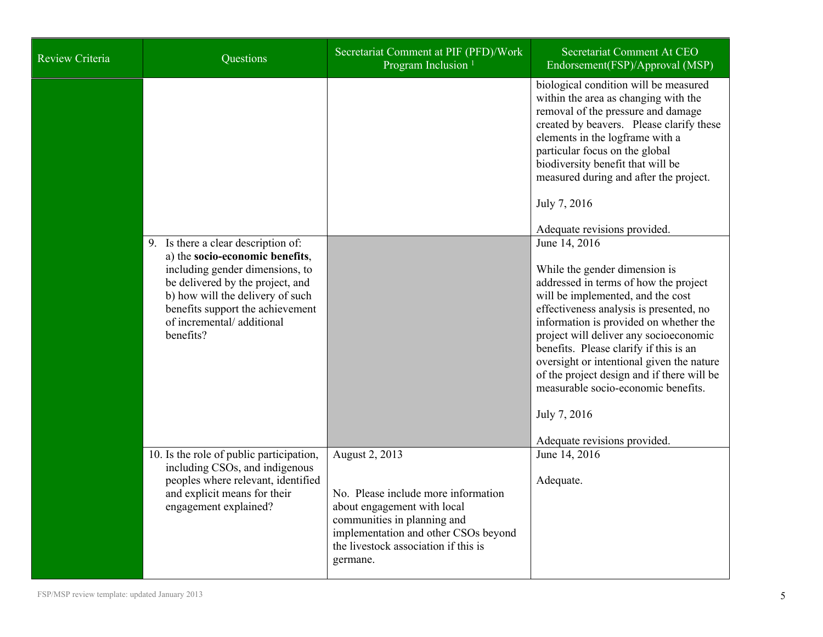| Review Criteria | Questions                                                                                                                                                                 | Secretariat Comment at PIF (PFD)/Work<br>Program Inclusion <sup>1</sup>                                                                                                                                         | Secretariat Comment At CEO<br>Endorsement(FSP)/Approval (MSP)                                                                                                                                                                                                                                                                                                                                                                                                  |
|-----------------|---------------------------------------------------------------------------------------------------------------------------------------------------------------------------|-----------------------------------------------------------------------------------------------------------------------------------------------------------------------------------------------------------------|----------------------------------------------------------------------------------------------------------------------------------------------------------------------------------------------------------------------------------------------------------------------------------------------------------------------------------------------------------------------------------------------------------------------------------------------------------------|
|                 | 9. Is there a clear description of:<br>a) the socio-economic benefits,<br>including gender dimensions, to<br>be delivered by the project, and                             |                                                                                                                                                                                                                 | biological condition will be measured<br>within the area as changing with the<br>removal of the pressure and damage<br>created by beavers. Please clarify these<br>elements in the logframe with a<br>particular focus on the global<br>biodiversity benefit that will be<br>measured during and after the project.<br>July 7, 2016<br>Adequate revisions provided.<br>June 14, 2016<br>While the gender dimension is<br>addressed in terms of how the project |
|                 | b) how will the delivery of such<br>benefits support the achievement<br>of incremental/additional<br>benefits?                                                            |                                                                                                                                                                                                                 | will be implemented, and the cost<br>effectiveness analysis is presented, no<br>information is provided on whether the<br>project will deliver any socioeconomic<br>benefits. Please clarify if this is an<br>oversight or intentional given the nature<br>of the project design and if there will be<br>measurable socio-economic benefits.<br>July 7, 2016<br>Adequate revisions provided.                                                                   |
|                 | 10. Is the role of public participation,<br>including CSOs, and indigenous<br>peoples where relevant, identified<br>and explicit means for their<br>engagement explained? | August 2, 2013<br>No. Please include more information<br>about engagement with local<br>communities in planning and<br>implementation and other CSOs beyond<br>the livestock association if this is<br>germane. | June 14, 2016<br>Adequate.                                                                                                                                                                                                                                                                                                                                                                                                                                     |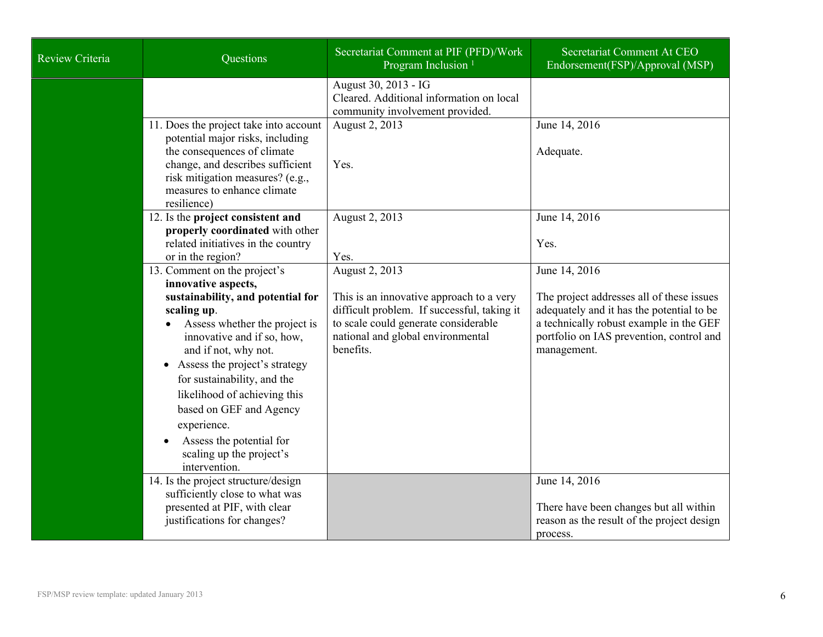| Review Criteria | Questions                                                                                                                                                                                                                                                                                                                                                                                                                      | Secretariat Comment at PIF (PFD)/Work<br>Program Inclusion <sup>1</sup>                                                                                                                             | Secretariat Comment At CEO<br>Endorsement(FSP)/Approval (MSP)                                                                                                                                                 |
|-----------------|--------------------------------------------------------------------------------------------------------------------------------------------------------------------------------------------------------------------------------------------------------------------------------------------------------------------------------------------------------------------------------------------------------------------------------|-----------------------------------------------------------------------------------------------------------------------------------------------------------------------------------------------------|---------------------------------------------------------------------------------------------------------------------------------------------------------------------------------------------------------------|
|                 |                                                                                                                                                                                                                                                                                                                                                                                                                                | August 30, 2013 - IG<br>Cleared. Additional information on local<br>community involvement provided.                                                                                                 |                                                                                                                                                                                                               |
|                 | 11. Does the project take into account<br>potential major risks, including<br>the consequences of climate<br>change, and describes sufficient<br>risk mitigation measures? (e.g.,<br>measures to enhance climate<br>resilience)                                                                                                                                                                                                | August 2, 2013<br>Yes.                                                                                                                                                                              | June 14, 2016<br>Adequate.                                                                                                                                                                                    |
|                 | 12. Is the project consistent and<br>properly coordinated with other<br>related initiatives in the country<br>or in the region?                                                                                                                                                                                                                                                                                                | August 2, 2013<br>Yes.                                                                                                                                                                              | June 14, 2016<br>Yes.                                                                                                                                                                                         |
|                 | 13. Comment on the project's<br>innovative aspects,<br>sustainability, and potential for<br>scaling up.<br>Assess whether the project is<br>innovative and if so, how,<br>and if not, why not.<br>Assess the project's strategy<br>$\bullet$<br>for sustainability, and the<br>likelihood of achieving this<br>based on GEF and Agency<br>experience.<br>Assess the potential for<br>scaling up the project's<br>intervention. | August 2, 2013<br>This is an innovative approach to a very<br>difficult problem. If successful, taking it<br>to scale could generate considerable<br>national and global environmental<br>benefits. | June 14, 2016<br>The project addresses all of these issues<br>adequately and it has the potential to be<br>a technically robust example in the GEF<br>portfolio on IAS prevention, control and<br>management. |
|                 | 14. Is the project structure/design<br>sufficiently close to what was<br>presented at PIF, with clear<br>justifications for changes?                                                                                                                                                                                                                                                                                           |                                                                                                                                                                                                     | June 14, 2016<br>There have been changes but all within<br>reason as the result of the project design<br>process.                                                                                             |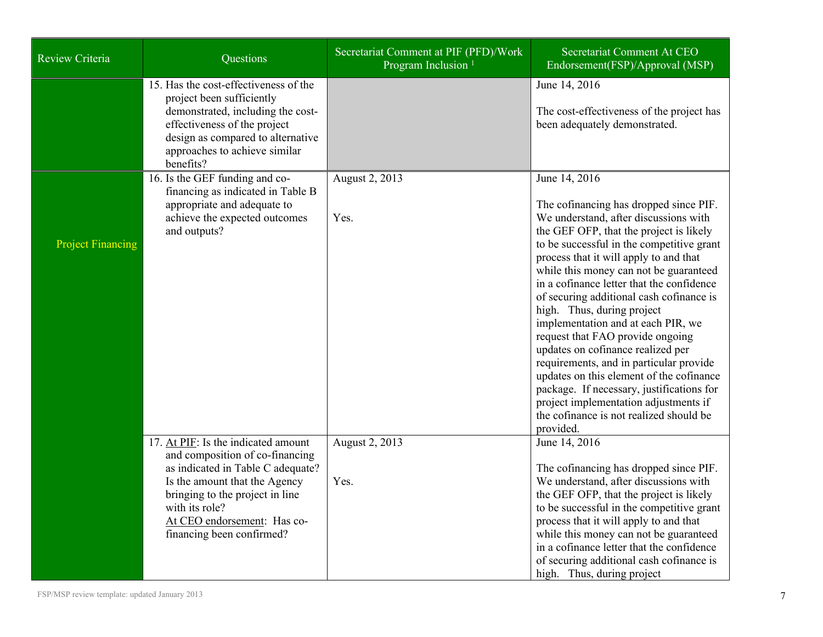| Review Criteria          | Questions                                                                                                                                                                                                                                                     | Secretariat Comment at PIF (PFD)/Work<br>Program Inclusion <sup>1</sup> | Secretariat Comment At CEO<br>Endorsement(FSP)/Approval (MSP)                                                                                                                                                                                                                                                                                                                                                                                                                                                                                                                                                                                                                                                                                           |
|--------------------------|---------------------------------------------------------------------------------------------------------------------------------------------------------------------------------------------------------------------------------------------------------------|-------------------------------------------------------------------------|---------------------------------------------------------------------------------------------------------------------------------------------------------------------------------------------------------------------------------------------------------------------------------------------------------------------------------------------------------------------------------------------------------------------------------------------------------------------------------------------------------------------------------------------------------------------------------------------------------------------------------------------------------------------------------------------------------------------------------------------------------|
|                          | 15. Has the cost-effectiveness of the<br>project been sufficiently<br>demonstrated, including the cost-<br>effectiveness of the project<br>design as compared to alternative<br>approaches to achieve similar<br>benefits?                                    |                                                                         | June 14, 2016<br>The cost-effectiveness of the project has<br>been adequately demonstrated.                                                                                                                                                                                                                                                                                                                                                                                                                                                                                                                                                                                                                                                             |
| <b>Project Financing</b> | 16. Is the GEF funding and co-<br>financing as indicated in Table B<br>appropriate and adequate to<br>achieve the expected outcomes<br>and outputs?                                                                                                           | August 2, 2013<br>Yes.                                                  | June 14, 2016<br>The cofinancing has dropped since PIF.<br>We understand, after discussions with<br>the GEF OFP, that the project is likely<br>to be successful in the competitive grant<br>process that it will apply to and that<br>while this money can not be guaranteed<br>in a cofinance letter that the confidence<br>of securing additional cash cofinance is<br>high. Thus, during project<br>implementation and at each PIR, we<br>request that FAO provide ongoing<br>updates on cofinance realized per<br>requirements, and in particular provide<br>updates on this element of the cofinance<br>package. If necessary, justifications for<br>project implementation adjustments if<br>the cofinance is not realized should be<br>provided. |
|                          | 17. At PIF: Is the indicated amount<br>and composition of co-financing<br>as indicated in Table C adequate?<br>Is the amount that the Agency<br>bringing to the project in line<br>with its role?<br>At CEO endorsement: Has co-<br>financing been confirmed? | August 2, 2013<br>Yes.                                                  | June 14, 2016<br>The cofinancing has dropped since PIF.<br>We understand, after discussions with<br>the GEF OFP, that the project is likely<br>to be successful in the competitive grant<br>process that it will apply to and that<br>while this money can not be guaranteed<br>in a cofinance letter that the confidence<br>of securing additional cash cofinance is<br>high. Thus, during project                                                                                                                                                                                                                                                                                                                                                     |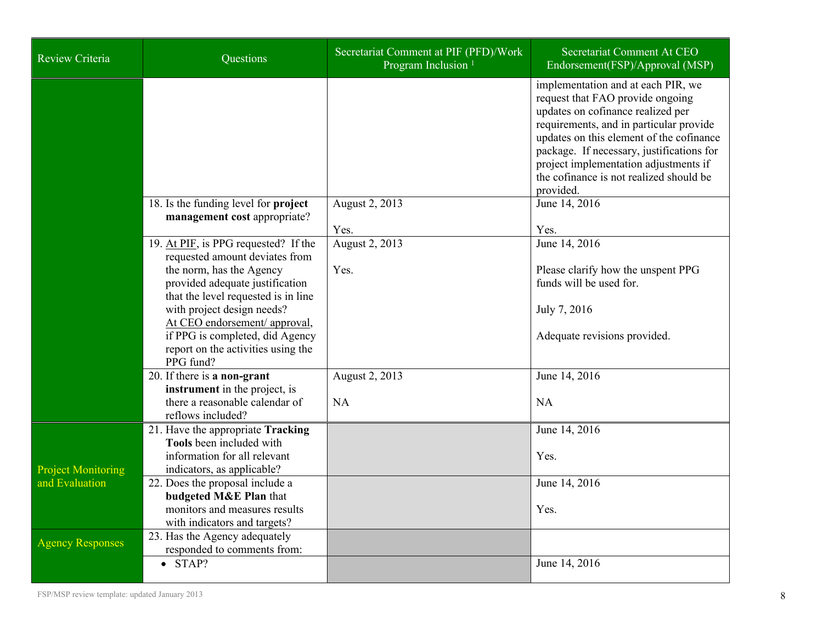| Review Criteria           | Questions                                                                                                                                                                                            | Secretariat Comment at PIF (PFD)/Work<br>Program Inclusion <sup>1</sup> | Secretariat Comment At CEO<br>Endorsement(FSP)/Approval (MSP)                                                                                                                                                                                                                                                                                    |
|---------------------------|------------------------------------------------------------------------------------------------------------------------------------------------------------------------------------------------------|-------------------------------------------------------------------------|--------------------------------------------------------------------------------------------------------------------------------------------------------------------------------------------------------------------------------------------------------------------------------------------------------------------------------------------------|
|                           |                                                                                                                                                                                                      |                                                                         | implementation and at each PIR, we<br>request that FAO provide ongoing<br>updates on cofinance realized per<br>requirements, and in particular provide<br>updates on this element of the cofinance<br>package. If necessary, justifications for<br>project implementation adjustments if<br>the cofinance is not realized should be<br>provided. |
|                           | 18. Is the funding level for project<br>management cost appropriate?                                                                                                                                 | August 2, 2013<br>Yes.                                                  | June 14, 2016<br>Yes.                                                                                                                                                                                                                                                                                                                            |
|                           | 19. At PIF, is PPG requested? If the<br>requested amount deviates from                                                                                                                               | August 2, 2013                                                          | June 14, 2016                                                                                                                                                                                                                                                                                                                                    |
|                           | the norm, has the Agency<br>provided adequate justification<br>that the level requested is in line<br>with project design needs?<br>At CEO endorsement/ approval,<br>if PPG is completed, did Agency | Yes.                                                                    | Please clarify how the unspent PPG<br>funds will be used for.<br>July 7, 2016<br>Adequate revisions provided.                                                                                                                                                                                                                                    |
|                           | report on the activities using the<br>PPG fund?                                                                                                                                                      |                                                                         |                                                                                                                                                                                                                                                                                                                                                  |
|                           | 20. If there is a non-grant<br>instrument in the project, is<br>there a reasonable calendar of<br>reflows included?                                                                                  | August 2, 2013<br><b>NA</b>                                             | June 14, 2016<br><b>NA</b>                                                                                                                                                                                                                                                                                                                       |
| <b>Project Monitoring</b> | 21. Have the appropriate Tracking<br><b>Tools</b> been included with<br>information for all relevant<br>indicators, as applicable?                                                                   |                                                                         | June 14, 2016<br>Yes.                                                                                                                                                                                                                                                                                                                            |
| and Evaluation            | 22. Does the proposal include a<br>budgeted M&E Plan that<br>monitors and measures results<br>with indicators and targets?                                                                           |                                                                         | June 14, 2016<br>Yes.                                                                                                                                                                                                                                                                                                                            |
| <b>Agency Responses</b>   | 23. Has the Agency adequately<br>responded to comments from:                                                                                                                                         |                                                                         |                                                                                                                                                                                                                                                                                                                                                  |
|                           | $\bullet$ STAP?                                                                                                                                                                                      |                                                                         | June 14, 2016                                                                                                                                                                                                                                                                                                                                    |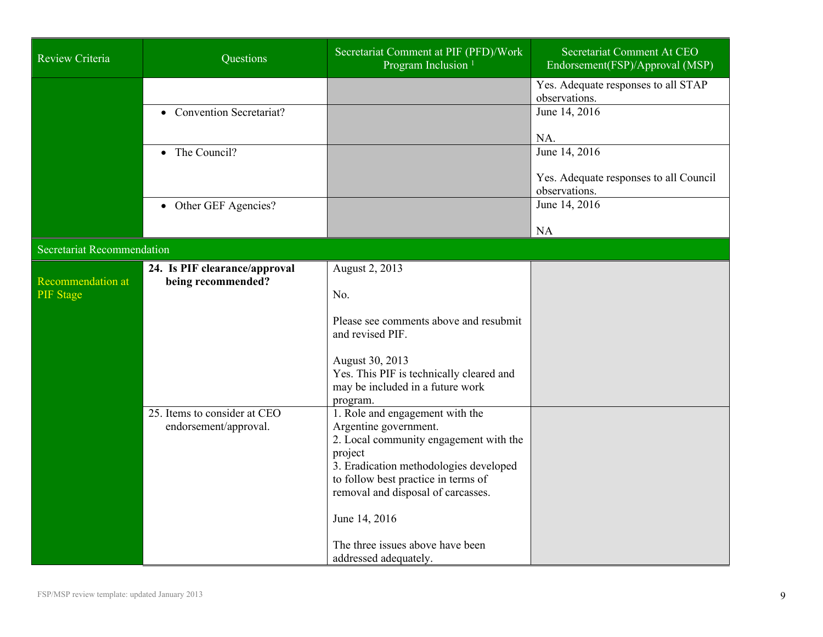| Review Criteria                       | Questions                                             | Secretariat Comment at PIF (PFD)/Work<br>Program Inclusion <sup>1</sup>                                                                                                                                                              | Secretariat Comment At CEO<br>Endorsement(FSP)/Approval (MSP) |
|---------------------------------------|-------------------------------------------------------|--------------------------------------------------------------------------------------------------------------------------------------------------------------------------------------------------------------------------------------|---------------------------------------------------------------|
|                                       |                                                       |                                                                                                                                                                                                                                      | Yes. Adequate responses to all STAP<br>observations.          |
|                                       | • Convention Secretariat?                             |                                                                                                                                                                                                                                      | June 14, 2016                                                 |
|                                       | The Council?<br>$\bullet$                             |                                                                                                                                                                                                                                      | NA.<br>June 14, 2016                                          |
|                                       |                                                       |                                                                                                                                                                                                                                      | Yes. Adequate responses to all Council<br>observations.       |
|                                       | • Other GEF Agencies?                                 |                                                                                                                                                                                                                                      | June 14, 2016                                                 |
|                                       |                                                       |                                                                                                                                                                                                                                      | <b>NA</b>                                                     |
| <b>Secretariat Recommendation</b>     |                                                       |                                                                                                                                                                                                                                      |                                                               |
| Recommendation at<br><b>PIF</b> Stage | 24. Is PIF clearance/approval<br>being recommended?   | August 2, 2013<br>No.                                                                                                                                                                                                                |                                                               |
|                                       |                                                       | Please see comments above and resubmit<br>and revised PIF.                                                                                                                                                                           |                                                               |
|                                       |                                                       | August 30, 2013<br>Yes. This PIF is technically cleared and<br>may be included in a future work<br>program.                                                                                                                          |                                                               |
|                                       | 25. Items to consider at CEO<br>endorsement/approval. | 1. Role and engagement with the<br>Argentine government.<br>2. Local community engagement with the<br>project<br>3. Eradication methodologies developed<br>to follow best practice in terms of<br>removal and disposal of carcasses. |                                                               |
|                                       |                                                       | June 14, 2016<br>The three issues above have been<br>addressed adequately.                                                                                                                                                           |                                                               |